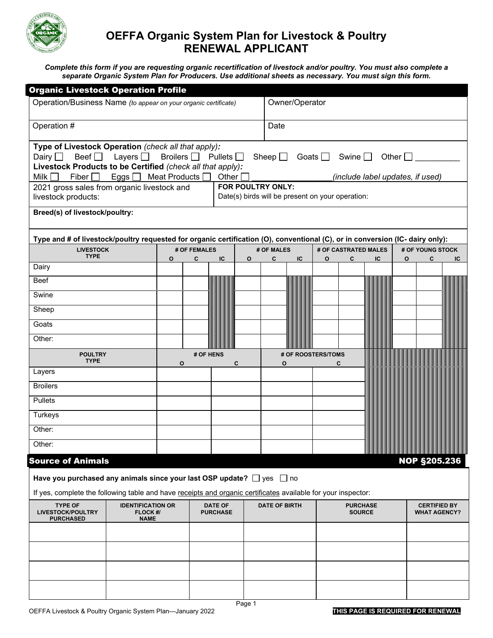

# **OEFFA Organic System Plan for Livestock & Poultry RENEWAL APPLICANT**

*Complete this form if you are requesting organic recertification of livestock and/or poultry. You must also complete a separate Organic System Plan for Producers. Use additional sheets as necessary. You must sign this form.*

| <b>Organic Livestock Operation Profile</b>                                                                                                                                                                                                                                            |                                                     |              |                |                                         |                                                                                                           |            |                |                                  |                      |    |              |                                            |    |
|---------------------------------------------------------------------------------------------------------------------------------------------------------------------------------------------------------------------------------------------------------------------------------------|-----------------------------------------------------|--------------|----------------|-----------------------------------------|-----------------------------------------------------------------------------------------------------------|------------|----------------|----------------------------------|----------------------|----|--------------|--------------------------------------------|----|
| Operation/Business Name (to appear on your organic certificate)                                                                                                                                                                                                                       |                                                     |              |                |                                         |                                                                                                           |            | Owner/Operator |                                  |                      |    |              |                                            |    |
| Operation #                                                                                                                                                                                                                                                                           |                                                     |              |                |                                         |                                                                                                           | Date       |                |                                  |                      |    |              |                                            |    |
| Type of Livestock Operation (check all that apply):<br>Beef $\Box$ Layers $\Box$<br>Broilers $\Box$ Pullets $\Box$<br>Dairy $\Box$<br>Sheep $\square$<br>Livestock Products to be Certified (check all that apply):<br>Eggs   Meat Products  <br>Milk $\Box$<br>Fiber $\Box$<br>Other |                                                     |              |                |                                         |                                                                                                           |            |                | Goats $\Box$                     | Swine $\Box$         |    | Other $\Box$ |                                            |    |
| 2021 gross sales from organic livestock and<br>livestock products:                                                                                                                                                                                                                    |                                                     |              |                |                                         | (include label updates, if used)<br>FOR POULTRY ONLY:<br>Date(s) birds will be present on your operation: |            |                |                                  |                      |    |              |                                            |    |
| Breed(s) of livestock/poultry:                                                                                                                                                                                                                                                        |                                                     |              |                |                                         |                                                                                                           |            |                |                                  |                      |    |              |                                            |    |
| Type and # of livestock/poultry requested for organic certification (O), conventional (C), or in conversion (IC- dairy only):                                                                                                                                                         |                                                     |              |                |                                         |                                                                                                           |            |                |                                  |                      |    |              |                                            |    |
| <b>LIVESTOCK</b>                                                                                                                                                                                                                                                                      |                                                     |              | # OF FEMALES   |                                         |                                                                                                           | # OF MALES |                |                                  | # OF CASTRATED MALES |    |              | # OF YOUNG STOCK                           |    |
| <b>TYPE</b>                                                                                                                                                                                                                                                                           |                                                     | $\mathbf{o}$ | C              | IC                                      | $\mathbf{o}$                                                                                              | C          | IC             | O                                | C                    | IC | O            | C                                          | IC |
| Dairy<br>Beef                                                                                                                                                                                                                                                                         |                                                     |              |                |                                         |                                                                                                           |            |                |                                  |                      |    |              |                                            |    |
| Swine                                                                                                                                                                                                                                                                                 |                                                     |              |                |                                         |                                                                                                           |            |                |                                  |                      |    |              |                                            |    |
| Sheep                                                                                                                                                                                                                                                                                 |                                                     |              |                |                                         |                                                                                                           |            |                |                                  |                      |    |              |                                            |    |
| Goats                                                                                                                                                                                                                                                                                 |                                                     |              |                |                                         |                                                                                                           |            |                |                                  |                      |    |              |                                            |    |
| Other:                                                                                                                                                                                                                                                                                |                                                     |              |                |                                         |                                                                                                           |            |                |                                  |                      |    |              |                                            |    |
| <b>POULTRY</b><br><b>TYPE</b>                                                                                                                                                                                                                                                         |                                                     |              | # OF HENS<br>O | # OF ROOSTERS/TOMS<br>C<br>$\mathbf{o}$ |                                                                                                           |            | C              |                                  |                      |    |              |                                            |    |
| Layers                                                                                                                                                                                                                                                                                |                                                     |              |                |                                         |                                                                                                           |            |                |                                  |                      |    |              |                                            |    |
| <b>Broilers</b>                                                                                                                                                                                                                                                                       |                                                     |              |                |                                         |                                                                                                           |            |                |                                  |                      |    |              |                                            |    |
| <b>Pullets</b>                                                                                                                                                                                                                                                                        |                                                     |              |                |                                         |                                                                                                           |            |                |                                  |                      |    |              |                                            |    |
| Turkeys<br>Other:                                                                                                                                                                                                                                                                     |                                                     |              |                |                                         |                                                                                                           |            |                |                                  |                      |    |              |                                            |    |
| Other:                                                                                                                                                                                                                                                                                |                                                     |              |                |                                         |                                                                                                           |            |                |                                  |                      |    |              |                                            |    |
|                                                                                                                                                                                                                                                                                       |                                                     |              |                |                                         |                                                                                                           |            |                |                                  |                      |    |              |                                            |    |
| <b>Source of Animals</b><br><b>NOP §205.236</b><br>Have you purchased any animals since your last OSP update? $\Box$ yes $\Box$ no                                                                                                                                                    |                                                     |              |                |                                         |                                                                                                           |            |                |                                  |                      |    |              |                                            |    |
| If yes, complete the following table and have receipts and organic certificates available for your inspector:                                                                                                                                                                         |                                                     |              |                |                                         |                                                                                                           |            |                |                                  |                      |    |              |                                            |    |
| <b>TYPE OF</b><br>LIVESTOCK/POULTRY<br><b>PURCHASED</b>                                                                                                                                                                                                                               | <b>IDENTIFICATION OR</b><br>FLOCK #/<br><b>NAME</b> |              |                | <b>DATE OF</b><br><b>PURCHASE</b>       | <b>DATE OF BIRTH</b>                                                                                      |            |                | <b>PURCHASE</b><br><b>SOURCE</b> |                      |    |              | <b>CERTIFIED BY</b><br><b>WHAT AGENCY?</b> |    |
|                                                                                                                                                                                                                                                                                       |                                                     |              |                |                                         |                                                                                                           |            |                |                                  |                      |    |              |                                            |    |
|                                                                                                                                                                                                                                                                                       |                                                     |              |                |                                         |                                                                                                           |            |                |                                  |                      |    |              |                                            |    |
|                                                                                                                                                                                                                                                                                       |                                                     |              |                |                                         |                                                                                                           |            |                |                                  |                      |    |              |                                            |    |
|                                                                                                                                                                                                                                                                                       |                                                     |              |                |                                         |                                                                                                           |            |                |                                  |                      |    |              |                                            |    |
|                                                                                                                                                                                                                                                                                       |                                                     |              |                |                                         |                                                                                                           |            |                |                                  |                      |    |              |                                            |    |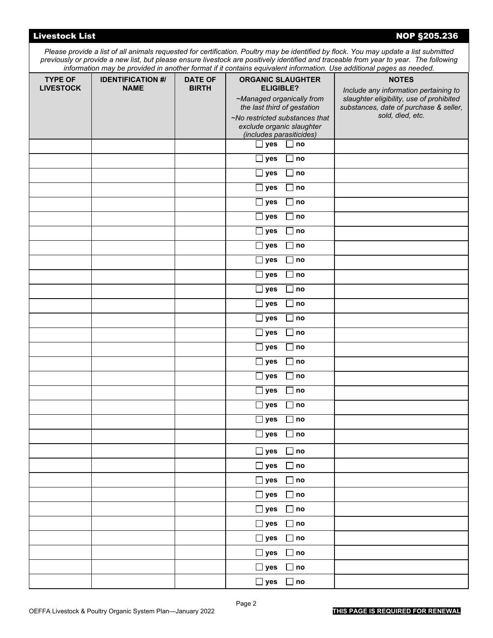| <b>Livestock List</b>              |                                         |                                |                                                                                                                                                                                                     |              | <b>NOP §205.236</b>                                                                                                                                                                                                                                                                                                                                                                                     |
|------------------------------------|-----------------------------------------|--------------------------------|-----------------------------------------------------------------------------------------------------------------------------------------------------------------------------------------------------|--------------|---------------------------------------------------------------------------------------------------------------------------------------------------------------------------------------------------------------------------------------------------------------------------------------------------------------------------------------------------------------------------------------------------------|
|                                    |                                         |                                |                                                                                                                                                                                                     |              | Please provide a list of all animals requested for certification. Poultry may be identified by flock. You may update a list submitted<br>previously or provide a new list, but please ensure livestock are positively identified and traceable from year to year. The following<br>information may be provided in another format if it contains equivalent information. Use additional pages as needed. |
| <b>TYPE OF</b><br><b>LIVESTOCK</b> | <b>IDENTIFICATION #/</b><br><b>NAME</b> | <b>DATE OF</b><br><b>BIRTH</b> | <b>ORGANIC SLAUGHTER</b><br><b>ELIGIBLE?</b><br>~Managed organically from<br>the last third of gestation<br>~No restricted substances that<br>exclude organic slaughter<br>(includes parasiticides) |              | <b>NOTES</b><br>Include any information pertaining to<br>slaughter eligibility, use of prohibited<br>substances, date of purchase & seller,<br>sold, died, etc.                                                                                                                                                                                                                                         |
|                                    |                                         |                                | $\Box$ yes                                                                                                                                                                                          | $\Box$ no    |                                                                                                                                                                                                                                                                                                                                                                                                         |
|                                    |                                         |                                | $\square$ yes                                                                                                                                                                                       | $\Box$ no    |                                                                                                                                                                                                                                                                                                                                                                                                         |
|                                    |                                         |                                | $\Box$ yes                                                                                                                                                                                          | $\Box$ no    |                                                                                                                                                                                                                                                                                                                                                                                                         |
|                                    |                                         |                                | $\square$ yes                                                                                                                                                                                       | $\Box$ no    |                                                                                                                                                                                                                                                                                                                                                                                                         |
|                                    |                                         |                                | $\Box$ yes                                                                                                                                                                                          | $\Box$ no    |                                                                                                                                                                                                                                                                                                                                                                                                         |
|                                    |                                         |                                | $\square$ yes                                                                                                                                                                                       | $\Box$ no    |                                                                                                                                                                                                                                                                                                                                                                                                         |
|                                    |                                         |                                | $\Box$ yes                                                                                                                                                                                          | $\Box$ no    |                                                                                                                                                                                                                                                                                                                                                                                                         |
|                                    |                                         |                                | $\square$ yes                                                                                                                                                                                       | $\Box$ no    |                                                                                                                                                                                                                                                                                                                                                                                                         |
|                                    |                                         |                                | $\Box$ yes                                                                                                                                                                                          | $\Box$ no    |                                                                                                                                                                                                                                                                                                                                                                                                         |
|                                    |                                         |                                | $\Box$ yes                                                                                                                                                                                          | $\Box$ no    |                                                                                                                                                                                                                                                                                                                                                                                                         |
|                                    |                                         |                                | $\Box$ yes                                                                                                                                                                                          | $\Box$ no    |                                                                                                                                                                                                                                                                                                                                                                                                         |
|                                    |                                         |                                | $\Box$ yes                                                                                                                                                                                          | $\Box$ no    |                                                                                                                                                                                                                                                                                                                                                                                                         |
|                                    |                                         |                                | $\Box$ yes                                                                                                                                                                                          | $\Box$ no    |                                                                                                                                                                                                                                                                                                                                                                                                         |
|                                    |                                         |                                | $\Box$ yes                                                                                                                                                                                          | $\Box$ no    |                                                                                                                                                                                                                                                                                                                                                                                                         |
|                                    |                                         |                                | $\Box$ yes                                                                                                                                                                                          | $\Box$ no    |                                                                                                                                                                                                                                                                                                                                                                                                         |
|                                    |                                         |                                | $\square$ yes                                                                                                                                                                                       | $\Box$ no    |                                                                                                                                                                                                                                                                                                                                                                                                         |
|                                    |                                         |                                | $\square$ yes                                                                                                                                                                                       | $\Box$ no    |                                                                                                                                                                                                                                                                                                                                                                                                         |
|                                    |                                         |                                | $\square$ yes                                                                                                                                                                                       | $\Box$ no    |                                                                                                                                                                                                                                                                                                                                                                                                         |
|                                    |                                         |                                | $\square$ yes                                                                                                                                                                                       | $\Box$ no    |                                                                                                                                                                                                                                                                                                                                                                                                         |
|                                    |                                         |                                | $\Box$ yes $\Box$ no                                                                                                                                                                                |              |                                                                                                                                                                                                                                                                                                                                                                                                         |
|                                    |                                         |                                | $\square$ yes                                                                                                                                                                                       | $\square$ no |                                                                                                                                                                                                                                                                                                                                                                                                         |
|                                    |                                         |                                | $\Box$ yes $\Box$ no                                                                                                                                                                                |              |                                                                                                                                                                                                                                                                                                                                                                                                         |
|                                    |                                         |                                | $\square$ yes                                                                                                                                                                                       | $\Box$ no    |                                                                                                                                                                                                                                                                                                                                                                                                         |
|                                    |                                         |                                | $\Box$ yes $\Box$ no                                                                                                                                                                                |              |                                                                                                                                                                                                                                                                                                                                                                                                         |
|                                    |                                         |                                | $\square$ yes                                                                                                                                                                                       | $\Box$ no    |                                                                                                                                                                                                                                                                                                                                                                                                         |
|                                    |                                         |                                | $\Box$ yes $\Box$ no                                                                                                                                                                                |              |                                                                                                                                                                                                                                                                                                                                                                                                         |
|                                    |                                         |                                | $\square$ yes                                                                                                                                                                                       | $\square$ no |                                                                                                                                                                                                                                                                                                                                                                                                         |
|                                    |                                         |                                | $\square$ yes                                                                                                                                                                                       | $\Box$ no    |                                                                                                                                                                                                                                                                                                                                                                                                         |
|                                    |                                         |                                | $\square$ yes                                                                                                                                                                                       | $\square$ no |                                                                                                                                                                                                                                                                                                                                                                                                         |
|                                    |                                         |                                | $\square$ yes                                                                                                                                                                                       | $\Box$ no    |                                                                                                                                                                                                                                                                                                                                                                                                         |
|                                    |                                         |                                | $\Box$ yes $\Box$ no                                                                                                                                                                                |              |                                                                                                                                                                                                                                                                                                                                                                                                         |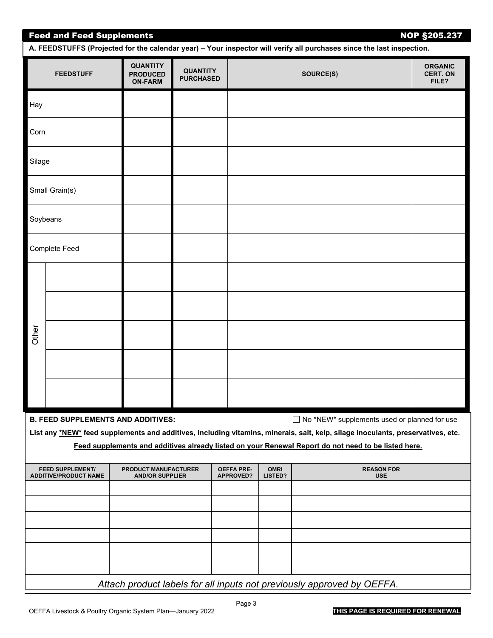| <b>NOP §205.237</b><br><b>Feed and Feed Supplements</b><br>A. FEEDSTUFFS (Projected for the calendar year) - Your inspector will verify all purchases since the last inspection. |                                                         |                                                      |                                     |                                       |                        |                                                                                                                                                                                                                                                                                          |                                            |  |
|----------------------------------------------------------------------------------------------------------------------------------------------------------------------------------|---------------------------------------------------------|------------------------------------------------------|-------------------------------------|---------------------------------------|------------------------|------------------------------------------------------------------------------------------------------------------------------------------------------------------------------------------------------------------------------------------------------------------------------------------|--------------------------------------------|--|
|                                                                                                                                                                                  | <b>FEEDSTUFF</b>                                        | <b>QUANTITY</b><br><b>PRODUCED</b><br><b>ON-FARM</b> | <b>QUANTITY</b><br><b>PURCHASED</b> |                                       |                        | SOURCE(S)                                                                                                                                                                                                                                                                                | <b>ORGANIC</b><br><b>CERT. ON</b><br>FILE? |  |
| Hay                                                                                                                                                                              |                                                         |                                                      |                                     |                                       |                        |                                                                                                                                                                                                                                                                                          |                                            |  |
| Corn                                                                                                                                                                             |                                                         |                                                      |                                     |                                       |                        |                                                                                                                                                                                                                                                                                          |                                            |  |
| Silage                                                                                                                                                                           |                                                         |                                                      |                                     |                                       |                        |                                                                                                                                                                                                                                                                                          |                                            |  |
|                                                                                                                                                                                  | Small Grain(s)                                          |                                                      |                                     |                                       |                        |                                                                                                                                                                                                                                                                                          |                                            |  |
|                                                                                                                                                                                  | Soybeans                                                |                                                      |                                     |                                       |                        |                                                                                                                                                                                                                                                                                          |                                            |  |
|                                                                                                                                                                                  | <b>Complete Feed</b>                                    |                                                      |                                     |                                       |                        |                                                                                                                                                                                                                                                                                          |                                            |  |
|                                                                                                                                                                                  |                                                         |                                                      |                                     |                                       |                        |                                                                                                                                                                                                                                                                                          |                                            |  |
|                                                                                                                                                                                  |                                                         |                                                      |                                     |                                       |                        |                                                                                                                                                                                                                                                                                          |                                            |  |
| Other                                                                                                                                                                            |                                                         |                                                      |                                     |                                       |                        |                                                                                                                                                                                                                                                                                          |                                            |  |
|                                                                                                                                                                                  |                                                         |                                                      |                                     |                                       |                        |                                                                                                                                                                                                                                                                                          |                                            |  |
|                                                                                                                                                                                  |                                                         |                                                      |                                     |                                       |                        |                                                                                                                                                                                                                                                                                          |                                            |  |
|                                                                                                                                                                                  | <b>B. FEED SUPPLEMENTS AND ADDITIVES:</b>               |                                                      |                                     |                                       |                        | □ No *NEW* supplements used or planned for use<br>List any *NEW* feed supplements and additives, including vitamins, minerals, salt, kelp, silage inoculants, preservatives, etc.<br>Feed supplements and additives already listed on your Renewal Report do not need to be listed here. |                                            |  |
|                                                                                                                                                                                  | <b>FEED SUPPLEMENT/</b><br><b>ADDITIVE/PRODUCT NAME</b> | PRODUCT MANUFACTURER<br><b>AND/OR SUPPLIER</b>       |                                     | <b>OEFFA PRE-</b><br><b>APPROVED?</b> | <b>OMRI</b><br>LISTED? | <b>REASON FOR</b><br><b>USE</b>                                                                                                                                                                                                                                                          |                                            |  |
|                                                                                                                                                                                  |                                                         |                                                      |                                     |                                       |                        |                                                                                                                                                                                                                                                                                          |                                            |  |
|                                                                                                                                                                                  |                                                         |                                                      |                                     |                                       |                        |                                                                                                                                                                                                                                                                                          |                                            |  |
|                                                                                                                                                                                  |                                                         |                                                      |                                     |                                       |                        |                                                                                                                                                                                                                                                                                          |                                            |  |
|                                                                                                                                                                                  |                                                         |                                                      |                                     |                                       |                        | Attach product labels for all inputs not previously approved by OEFFA.                                                                                                                                                                                                                   |                                            |  |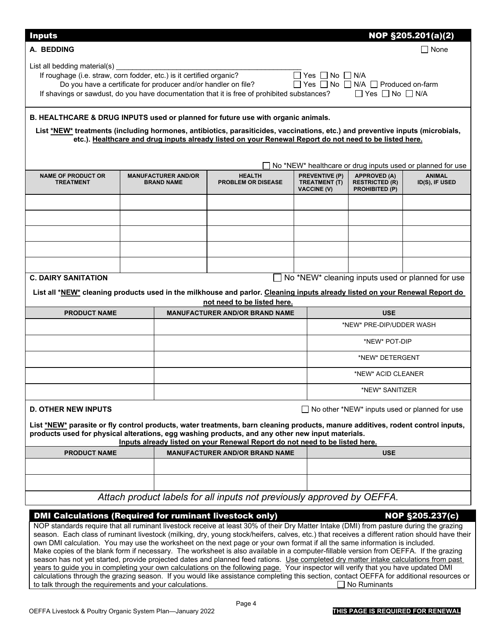| <b>Inputs</b>                                                                                                                                                                                                                                                                                                                                                                             |  |                                                 |                                            |  |                                                              |                                                                | NOP §205.201(a)(2)                               |  |
|-------------------------------------------------------------------------------------------------------------------------------------------------------------------------------------------------------------------------------------------------------------------------------------------------------------------------------------------------------------------------------------------|--|-------------------------------------------------|--------------------------------------------|--|--------------------------------------------------------------|----------------------------------------------------------------|--------------------------------------------------|--|
| A. BEDDING                                                                                                                                                                                                                                                                                                                                                                                |  |                                                 |                                            |  |                                                              |                                                                | None                                             |  |
| List all bedding material(s)<br>□ Yes □ No □ N/A<br>If roughage (i.e. straw, corn fodder, etc.) is it certified organic?<br>□ Yes □ No □ N/A □ Produced on-farm<br>Do you have a certificate for producer and/or handler on file?<br>If shavings or sawdust, do you have documentation that it is free of prohibited substances? $\Box$ Yes $\Box$ No $\Box$ N/A                          |  |                                                 |                                            |  |                                                              |                                                                |                                                  |  |
| B. HEALTHCARE & DRUG INPUTS used or planned for future use with organic animals.<br>List *NEW* treatments (including hormones, antibiotics, parasiticides, vaccinations, etc.) and preventive inputs (microbials,<br>etc.). Healthcare and drug inputs already listed on your Renewal Report do not need to be listed here.<br>No *NEW* healthcare or drug inputs used or planned for use |  |                                                 |                                            |  |                                                              |                                                                |                                                  |  |
| <b>NAME OF PRODUCT OR</b><br><b>TREATMENT</b>                                                                                                                                                                                                                                                                                                                                             |  | <b>MANUFACTURER AND/OR</b><br><b>BRAND NAME</b> | <b>HEALTH</b><br><b>PROBLEM OR DISEASE</b> |  | <b>PREVENTIVE (P)</b><br>TREATMENT (T)<br><b>VACCINE (V)</b> | <b>APPROVED (A)</b><br><b>RESTRICTED (R)</b><br>PROHIBITED (P) | <b>ANIMAL</b><br>ID(S), IF USED                  |  |
|                                                                                                                                                                                                                                                                                                                                                                                           |  |                                                 |                                            |  |                                                              |                                                                |                                                  |  |
|                                                                                                                                                                                                                                                                                                                                                                                           |  |                                                 |                                            |  |                                                              |                                                                |                                                  |  |
|                                                                                                                                                                                                                                                                                                                                                                                           |  |                                                 |                                            |  |                                                              |                                                                |                                                  |  |
|                                                                                                                                                                                                                                                                                                                                                                                           |  |                                                 |                                            |  |                                                              |                                                                |                                                  |  |
| <b>C. DAIRY SANITATION</b>                                                                                                                                                                                                                                                                                                                                                                |  |                                                 | $\Box$                                     |  |                                                              |                                                                | No *NEW* cleaning inputs used or planned for use |  |
| List all *NEW* cleaning products used in the milkhouse and parlor. Cleaning inputs already listed on your Renewal Report do                                                                                                                                                                                                                                                               |  |                                                 | not need to be listed here.                |  |                                                              |                                                                |                                                  |  |
| <b>PRODUCT NAME</b>                                                                                                                                                                                                                                                                                                                                                                       |  |                                                 | <b>MANUFACTURER AND/OR BRAND NAME</b>      |  |                                                              | <b>USE</b>                                                     |                                                  |  |
|                                                                                                                                                                                                                                                                                                                                                                                           |  |                                                 |                                            |  |                                                              | *NEW* PRE-DIP/UDDER WASH                                       |                                                  |  |
|                                                                                                                                                                                                                                                                                                                                                                                           |  |                                                 |                                            |  |                                                              | *NEW* POT-DIP                                                  |                                                  |  |
|                                                                                                                                                                                                                                                                                                                                                                                           |  |                                                 |                                            |  |                                                              | *NEW* DETERGENT                                                |                                                  |  |
|                                                                                                                                                                                                                                                                                                                                                                                           |  |                                                 |                                            |  |                                                              | *NEW* ACID CLEANER                                             |                                                  |  |
|                                                                                                                                                                                                                                                                                                                                                                                           |  |                                                 |                                            |  |                                                              | *NEW* SANITIZER                                                |                                                  |  |
| $\Box$ No other *NEW* inputs used or planned for use<br><b>D. OTHER NEW INPUTS</b>                                                                                                                                                                                                                                                                                                        |  |                                                 |                                            |  |                                                              |                                                                |                                                  |  |
| List *NEW* parasite or fly control products, water treatments, barn cleaning products, manure additives, rodent control inputs,<br>products used for physical alterations, egg washing products, and any other new input materials.<br>Inputs already listed on your Renewal Report do not need to be listed here.                                                                        |  |                                                 |                                            |  |                                                              |                                                                |                                                  |  |
| <b>PRODUCT NAME</b>                                                                                                                                                                                                                                                                                                                                                                       |  |                                                 | <b>MANUFACTURER AND/OR BRAND NAME</b>      |  |                                                              | <b>USE</b>                                                     |                                                  |  |
|                                                                                                                                                                                                                                                                                                                                                                                           |  |                                                 |                                            |  |                                                              |                                                                |                                                  |  |
|                                                                                                                                                                                                                                                                                                                                                                                           |  |                                                 |                                            |  |                                                              |                                                                |                                                  |  |
| Attach product labels for all inputs not previously approved by OEFFA.                                                                                                                                                                                                                                                                                                                    |  |                                                 |                                            |  |                                                              |                                                                |                                                  |  |
| <b>DMI Calculations (Required for ruminant livestock only)</b><br><b>NOP §205.237(c)</b>                                                                                                                                                                                                                                                                                                  |  |                                                 |                                            |  |                                                              |                                                                |                                                  |  |

NOP standards require that all ruminant livestock receive at least 30% of their Dry Matter Intake (DMI) from pasture during the grazing season. Each class of ruminant livestock (milking, dry, young stock/heifers, calves, etc.) that receives a different ration should have their own DMI calculation. You may use the worksheet on the next page or your own format if all the same information is included. Make copies of the blank form if necessary. The worksheet is also available in a computer-fillable version from OEFFA. If the grazing season has not yet started, provide projected dates and planned feed rations. Use completed dry matter intake calculations from past years to guide you in completing your own calculations on the following page. Your inspector will verify that you have updated DMI calculations through the grazing season. If you would like assistance completing this section, contact OEFFA for additional resources or to talk through the requirements and your calculations.  $\Box$  No Ruminants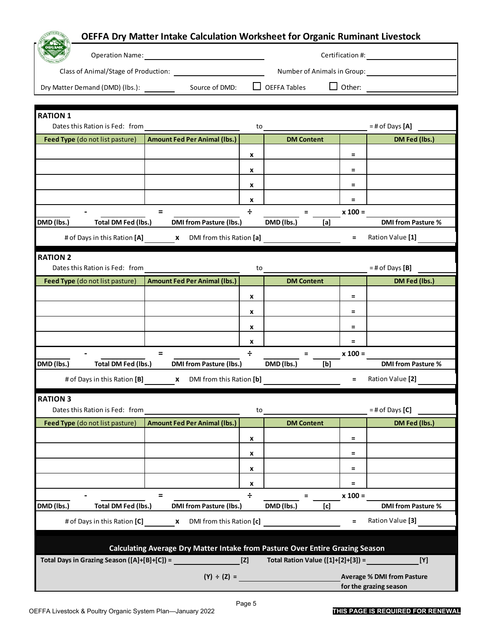|                                                                                                      | OEFFA Dry Matter Intake Calculation Worksheet for Organic Ruminant Livestock |                  |                   |                             |                                      |  |  |
|------------------------------------------------------------------------------------------------------|------------------------------------------------------------------------------|------------------|-------------------|-----------------------------|--------------------------------------|--|--|
|                                                                                                      |                                                                              |                  |                   |                             |                                      |  |  |
|                                                                                                      |                                                                              |                  |                   | Number of Animals in Group: |                                      |  |  |
|                                                                                                      |                                                                              |                  |                   | $\Box$ Other:               |                                      |  |  |
|                                                                                                      |                                                                              |                  |                   |                             |                                      |  |  |
| <b>RATION 1</b>                                                                                      |                                                                              |                  |                   |                             |                                      |  |  |
| Dates this Ration is Fed: from<br>Feed Type (do not list pasture)                                    | <b>Amount Fed Per Animal (lbs.)</b>                                          | to               | <b>DM Content</b> |                             | $=$ # of Days $[A]$<br>DM Fed (lbs.) |  |  |
|                                                                                                      |                                                                              | x                |                   | $=$                         |                                      |  |  |
|                                                                                                      |                                                                              | x                |                   | Ξ                           |                                      |  |  |
|                                                                                                      |                                                                              |                  |                   |                             |                                      |  |  |
|                                                                                                      |                                                                              | x                |                   | Ξ<br>$=$                    |                                      |  |  |
|                                                                                                      | $=$                                                                          | X<br>÷           | $=$               | $x 100 =$                   |                                      |  |  |
| DMD (lbs.)<br>Total DM Fed (lbs.)                                                                    | <b>DMI from Pasture (Ibs.)</b>                                               |                  | DMD (lbs.)        | [a]                         | <b>DMI from Pasture %</b>            |  |  |
|                                                                                                      | # of Days in this Ration [A] x DMI from this Ration [a]                      |                  |                   | $=$                         | Ration Value [1]                     |  |  |
| <b>RATION 2</b>                                                                                      |                                                                              |                  |                   |                             |                                      |  |  |
| Dates this Ration is Fed: from                                                                       |                                                                              | to               |                   |                             | $=$ # of Days $[B]$                  |  |  |
| Feed Type (do not list pasture)                                                                      | <b>Amount Fed Per Animal (lbs.)</b>                                          |                  | <b>DM Content</b> |                             | DM Fed (lbs.)                        |  |  |
|                                                                                                      |                                                                              | x                |                   | $=$                         |                                      |  |  |
|                                                                                                      |                                                                              | x                |                   | Ξ                           |                                      |  |  |
|                                                                                                      |                                                                              | x                |                   | Ξ                           |                                      |  |  |
|                                                                                                      |                                                                              | x                |                   | $\equiv$                    |                                      |  |  |
|                                                                                                      | $=$                                                                          | $\div$           | $=$               | $x 100 =$                   |                                      |  |  |
| DMD (lbs.)<br>Total DM Fed (lbs.)                                                                    | <b>DMI from Pasture (Ibs.)</b>                                               |                  | DMD (lbs.)        | [b]                         | <b>DMI from Pasture %</b>            |  |  |
|                                                                                                      | # of Days in this Ration [B] x DMI from this Ration [b]                      |                  |                   | $=$                         | Ration Value [2]                     |  |  |
| <b>RATION 3</b>                                                                                      |                                                                              |                  |                   |                             |                                      |  |  |
| Dates this Ration is Fed: from<br>Feed Type (do not list pasture)                                    | <b>Amount Fed Per Animal (Ibs.)</b>                                          | to               | <b>DM Content</b> |                             | $=$ # of Days $[C]$<br>DM Fed (lbs.) |  |  |
|                                                                                                      |                                                                              | $\boldsymbol{x}$ |                   | Ξ                           |                                      |  |  |
|                                                                                                      |                                                                              | x                |                   | Ξ                           |                                      |  |  |
|                                                                                                      |                                                                              |                  |                   |                             |                                      |  |  |
|                                                                                                      |                                                                              | x                |                   | $=$<br>$=$                  |                                      |  |  |
|                                                                                                      | $=$                                                                          | x<br>$\div$      | $=$               | $x 100 =$                   |                                      |  |  |
| DMD (lbs.)<br>Total DM Fed (lbs.)                                                                    | <b>DMI from Pasture (Ibs.)</b>                                               |                  | DMD (lbs.)        | [c]                         | <b>DMI from Pasture %</b>            |  |  |
| Ration Value [3]<br># of Days in this Ration [C]<br><b>x</b> DMI from this Ration [c]<br>$=$         |                                                                              |                  |                   |                             |                                      |  |  |
|                                                                                                      |                                                                              |                  |                   |                             |                                      |  |  |
| Calculating Average Dry Matter Intake from Pasture Over Entire Grazing Season                        |                                                                              |                  |                   |                             |                                      |  |  |
| Total Days in Grazing Season $([A]+[B]+[C]) =$<br>[Z]<br>Total Ration Value $([1]+[2]+[3]) =$<br>[Y] |                                                                              |                  |                   |                             |                                      |  |  |
|                                                                                                      |                                                                              |                  | $(Y) \div (Z) =$  |                             | <b>Average % DMI from Pasture</b>    |  |  |

Page 5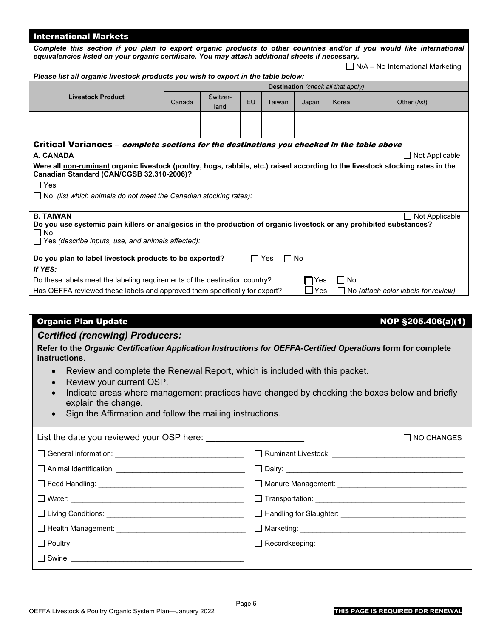| <b>International Markets</b>                                                                                                                                                                                                                                         |                                    |                  |    |        |       |       |                |  |  |
|----------------------------------------------------------------------------------------------------------------------------------------------------------------------------------------------------------------------------------------------------------------------|------------------------------------|------------------|----|--------|-------|-------|----------------|--|--|
| Complete this section if you plan to export organic products to other countries and/or if you would like international<br>equivalencies listed on your organic certificate. You may attach additional sheets if necessary.<br>$N/A - No$ International Marketing     |                                    |                  |    |        |       |       |                |  |  |
| Please list all organic livestock products you wish to export in the table below:                                                                                                                                                                                    |                                    |                  |    |        |       |       |                |  |  |
|                                                                                                                                                                                                                                                                      | Destination (check all that apply) |                  |    |        |       |       |                |  |  |
| <b>Livestock Product</b>                                                                                                                                                                                                                                             | Canada                             | Switzer-<br>land | EU | Taiwan | Japan | Korea | Other (list)   |  |  |
|                                                                                                                                                                                                                                                                      |                                    |                  |    |        |       |       |                |  |  |
|                                                                                                                                                                                                                                                                      |                                    |                  |    |        |       |       |                |  |  |
| Critical Variances – <i>complete sections for the destinations you checked in the table above</i>                                                                                                                                                                    |                                    |                  |    |        |       |       |                |  |  |
| A. CANADA<br>Not Applicable                                                                                                                                                                                                                                          |                                    |                  |    |        |       |       |                |  |  |
| Were all non-ruminant organic livestock (poultry, hogs, rabbits, etc.) raised according to the livestock stocking rates in the<br>Canadian Standard (CAN/CGSB 32.310-2006)?<br>$\Box$ Yes<br>$\Box$ No (list which animals do not meet the Canadian stocking rates): |                                    |                  |    |        |       |       |                |  |  |
| <b>B. TAIWAN</b>                                                                                                                                                                                                                                                     |                                    |                  |    |        |       |       | Not Applicable |  |  |
| Do you use systemic pain killers or analgesics in the production of organic livestock or any prohibited substances?<br>$\Box$ No<br>$\Box$ Yes (describe inputs, use, and animals affected):                                                                         |                                    |                  |    |        |       |       |                |  |  |
| <b>No</b><br>Do you plan to label livestock products to be exported?<br>Yes                                                                                                                                                                                          |                                    |                  |    |        |       |       |                |  |  |
| If YES:                                                                                                                                                                                                                                                              |                                    |                  |    |        |       |       |                |  |  |
| $\Box$ No<br>Do these labels meet the labeling requirements of the destination country?<br>Yes                                                                                                                                                                       |                                    |                  |    |        |       |       |                |  |  |
| Has OEFFA reviewed these labels and approved them specifically for export?<br>Yes<br>No (attach color labels for review)                                                                                                                                             |                                    |                  |    |        |       |       |                |  |  |
|                                                                                                                                                                                                                                                                      |                                    |                  |    |        |       |       |                |  |  |

## Organic Plan Update North State No and Security 1980 1000 NOP \$205.406(a)(1)

## *Certified (renewing) Producers:*

**Refer to the** *Organic Certification Application Instructions for OEFFA-Certified Operations* **form for complete instructions**.

- Review and complete the Renewal Report, which is included with this packet.
- Review your current OSP.
- Indicate areas where management practices have changed by checking the boxes below and briefly explain the change.
- Sign the Affirmation and follow the mailing instructions.

|                                                           | $\Box$ NO CHANGES                                                                                                                                                                                                                    |
|-----------------------------------------------------------|--------------------------------------------------------------------------------------------------------------------------------------------------------------------------------------------------------------------------------------|
|                                                           | Ruminant Livestock: <b>with the control of the control of the control of the control of the control of the control of the control of the control of the control of the control of the control of the control of the control of t</b> |
|                                                           |                                                                                                                                                                                                                                      |
|                                                           | ◯ Manure Management: __________________________                                                                                                                                                                                      |
|                                                           | $\Box$ Transportation: _________________________________                                                                                                                                                                             |
|                                                           |                                                                                                                                                                                                                                      |
| □ Health Management: <u>University</u> Health Management: | ◯ Marketing: _______________________________                                                                                                                                                                                         |
|                                                           | Recordkeeping: ________________________                                                                                                                                                                                              |
| □ Swine: <u>_____________________________</u>             |                                                                                                                                                                                                                                      |